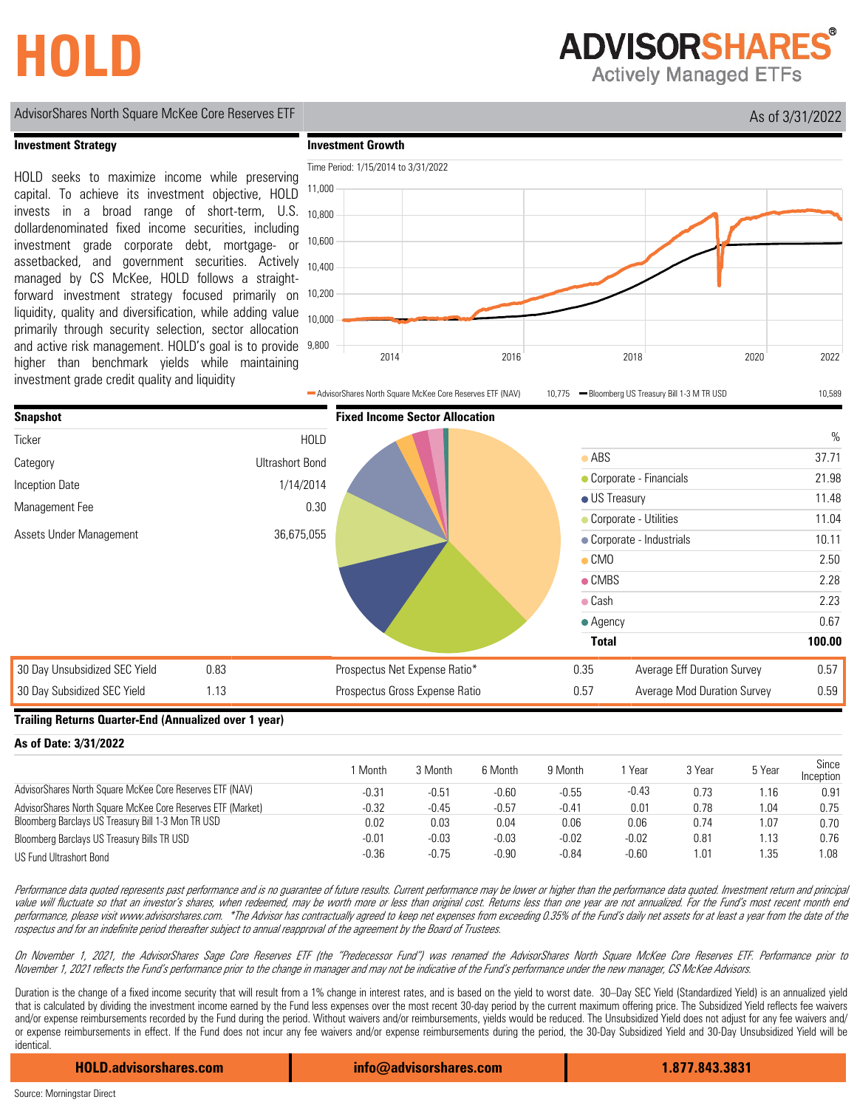# **HOLD**

**ADVISORSHARES** 

**Actively Managed ETFs** 

# AdvisorShares North Square McKee Core Reserves ETF As of 3/31/2022

### **Investment Strategy**

HOLD seeks to maximize income while preserving capital. To achieve its investment objective, HOLD invests in a broad range of short-term, U.S. dollardenominated fixed income securities, including investment grade corporate debt, mortgage- or assetbacked, and government securities. Actively managed by CS McKee, HOLD follows a straightforward investment strategy focused primarily on liquidity, quality and diversification, while adding value primarily through security selection, sector allocation and active risk management. HOLD's goal is to provide higher than benchmark yields while maintaining investment grade credit quality and liquidity





#### **Trailing Returns Quarter-End (Annualized over 1 year)**

| AS OF DULO, U/OT/LULL                                       |         |         |         |         |         |        |        |                    |
|-------------------------------------------------------------|---------|---------|---------|---------|---------|--------|--------|--------------------|
|                                                             | Month   | 3 Month | 6 Month | 9 Month | Year    | 3 Year | 5 Year | Since<br>Inception |
| AdvisorShares North Square McKee Core Reserves ETF (NAV)    | $-0.31$ | $-0.51$ | $-0.60$ | $-0.55$ | $-0.43$ | 0.73   | ı.16   | 0.91               |
| AdvisorShares North Square McKee Core Reserves ETF (Market) | $-0.32$ | $-0.45$ | $-0.57$ | $-0.41$ | 0.01    | 0.78   | l.04   | 0.75               |
| Bloomberg Barclays US Treasury Bill 1-3 Mon TR USD          | 0.02    | 0.03    | 0.04    | 0.06    | 0.06    | 0.74   | 1.07   | 0.70               |
| Bloomberg Barclays US Treasury Bills TR USD                 | $-0.01$ | $-0.03$ | $-0.03$ | $-0.02$ | $-0.02$ | 0.81   | l.13   | 0.76               |
| US Fund Ultrashort Bond                                     | $-0.36$ | $-0.75$ | $-0.90$ | $-0.84$ | $-0.60$ | .01    | ı.35   | 1.08               |

Performance data quoted represents past performance and is no guarantee of future results. Current performance may be lower or higher than the performance data quoted. Investment return and principal value will fluctuate so that an investor's shares, when redeemed, may be worth more or less than orginal cost. Returns less than one year are not annualized. For the Fund's most recent month end performance, please visit www.advisorshares.com. \*The Advisor has contractually agreed to keep net expenses from exceeding 0.35% of the Fund's daily net assets for at least a year from the date of the rospectus and for an indefinite period thereafter subject to annual reapproval of the agreement by the Board of Trustees.

On November 1, 2021, the AdvisorShares Sage Core Reserves ETF (the "Predecessor Fund") was renamed the AdvisorShares North Square McKee Core Reserves ETF. Performance prior to November 1, 2021 reflects the Fund's performance prior to the change in manager and may not be indicative of the Fund's performance under the new manager, CS McKee Advisors.

Duration is the change of a fixed income security that will result from a 1% change in interest rates, and is based on the yield to worst date. 30-Day SEC Yield (Standardized Yield) is an annualized yield that is calculated by dividing the investment income earned by the Fund less expenses over the most recent 30-day period by the current maximum offering price. The Subsidized Yield reflects fee waivers and/or expense reimbursements recorded by the Fund during the period. Without waivers and/or reimbursements, yields would be reduced. The Unsubsidized Yield does not adjust for any fee waivers and/ or expense reimbursements in effect. If the Fund does not incur any fee waivers and/or expense reimbursements during the period, the 30-Day Subsidized Yield and 30-Day Unsubsidized Yield will be identical.

**HOLD.advisorshares.com info@advisorshares.com 1.877.843.3831**

**As of Date: 3/31/2022**